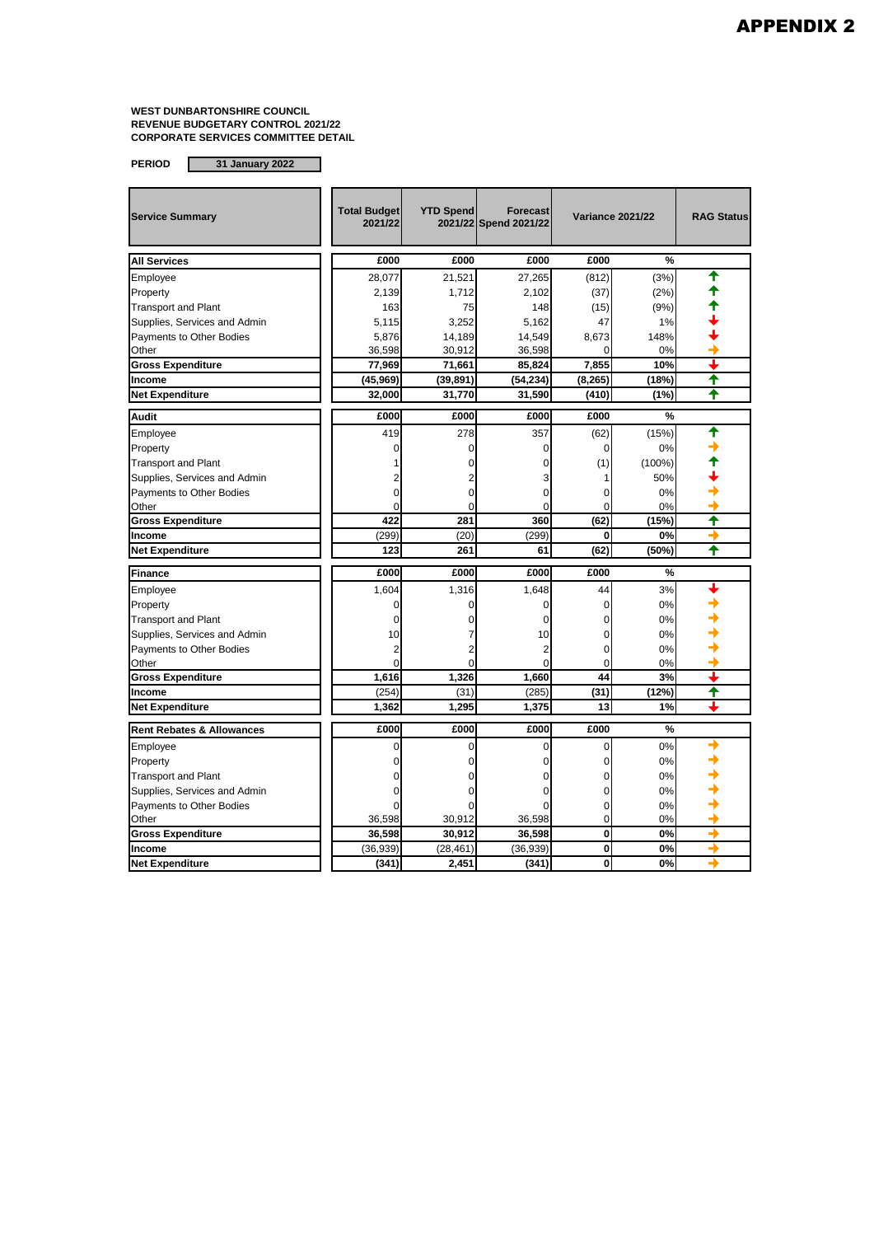| <b>Service Summary</b>               | <b>Total Budget</b><br>2021/22 | <b>YTD Spend</b> | Forecast<br>2021/22 Spend 2021/22 |          | <b>Variance 2021/22</b> | <b>RAG Status</b> |
|--------------------------------------|--------------------------------|------------------|-----------------------------------|----------|-------------------------|-------------------|
| <b>All Services</b>                  | £000                           | £000             | £000                              | £000     | $\frac{9}{6}$           |                   |
| Employee                             | 28,077                         | 21,521           | 27,265                            | (812)    | (3%)                    |                   |
| Property                             | 2,139                          | 1,712            | 2,102                             | (37)     | (2%)                    |                   |
| <b>Transport and Plant</b>           | 163                            | 75               | 148                               | (15)     | (9%)                    |                   |
| Supplies, Services and Admin         | 5,115                          | 3,252            | 5,162                             | 47       | 1%                      |                   |
| Payments to Other Bodies             | 5,876                          | 14,189           | 14,549                            | 8,673    | 148%                    |                   |
| Other                                | 36,598                         | 30,912           | 36,598                            |          | 0%                      |                   |
| <b>Gross Expenditure</b>             | 77,969                         | 71,661           | 85,824                            | 7,855    | 10%                     |                   |
| Income                               | (45,969)                       | (39,891)         | (54, 234)                         | (8, 265) | (18%)                   | ✦                 |
| <b>Net Expenditure</b>               | 32,000                         | 31,770           | 31,590                            | (410)    | (1%)                    | ♠                 |
| <b>Audit</b>                         | £000                           | £000             | £000                              | £000     | %                       |                   |
| Employee                             | 419                            | 278              | 357                               | (62)     | (15%)                   | ♠                 |
| Property                             | $\Omega$                       | $\Omega$         | $\Omega$                          | 0        | 0%                      |                   |
| <b>Transport and Plant</b>           |                                | 0                | $\Omega$                          | (1)      | $(100\%)$               |                   |
| Supplies, Services and Admin         |                                |                  | 3                                 |          | 50%                     |                   |
| Payments to Other Bodies             | $\Omega$                       | $\Omega$         | $\mathbf 0$                       | 0        | 0%                      |                   |
| Other                                | $\Omega$                       | 0                | 0                                 | 0        | 0%                      |                   |
| <b>Gross Expenditure</b>             | 422                            | 281              | 360                               | (62)     | (15%)                   | ↑                 |
| Income                               | (299)                          | (20)             | (299)                             | 0        | 0%                      | ۰                 |
| <b>Net Expenditure</b>               | 123                            | 261              | 61                                | (62)     | (50%)                   | ↑                 |
| <b>Finance</b>                       | £000                           | £000             | £000                              | £000     | %                       |                   |
| Employee                             | 1,604                          | 1,316            | 1,648                             | 44       | 3%                      |                   |
| Property                             | $\Omega$                       | $\Omega$         | 0                                 | 0        | 0%                      |                   |
| <b>Transport and Plant</b>           | $\mathbf 0$                    | $\Omega$         | 0                                 | 0        | 0%                      |                   |
| Supplies, Services and Admin         | 10                             |                  | 10                                | 0        | 0%                      |                   |
| Payments to Other Bodies             | 2                              |                  | $\overline{2}$                    | $\Omega$ | 0%                      |                   |
| Other                                | $\Omega$                       | $\Omega$         | $\Omega$                          | $\Omega$ | 0%                      |                   |
| <b>Gross Expenditure</b>             | 1,616                          | 1.326            | 1,660                             | 44       | 3%                      |                   |
| Income                               | (254)                          | (31)             | (285)                             | (31)     | (12%)                   | ✦                 |
| <b>Net Expenditure</b>               | 1,362                          | 1,295            | 1,375                             | 13       | 1%                      | ┻                 |
| <b>Rent Rebates &amp; Allowances</b> | £000                           | £000             | £000                              | £000     | %                       |                   |
| Employee                             | $\Omega$                       | $\Omega$         | $\Omega$                          | 0        | 0%                      |                   |
| Property                             | 0                              | 0                | $\Omega$                          | $\Omega$ | 0%                      |                   |
| <b>Transport and Plant</b>           |                                | 0                | $\mathbf 0$                       | 0        | 0%                      |                   |
| Supplies, Services and Admin         | 0                              |                  | 0                                 | 0        | 0%                      |                   |
| Payments to Other Bodies             | $\Omega$                       | ŋ                | $\Omega$                          | 0        | 0%                      |                   |
| Other                                | 36,598                         | 30,912           | 36,598                            | 0        | 0%                      |                   |
| <b>Gross Expenditure</b>             | 36,598                         | 30,912           | 36,598                            | $\bf{0}$ | 0%                      | →                 |
| Income                               | (36, 939)                      | (28, 461)        | (36, 939)                         | 0        | 0%                      | →                 |
| <b>Net Expenditure</b>               | (341)                          | 2,451            | (341)                             | $\bf{0}$ | 0%                      | ٠                 |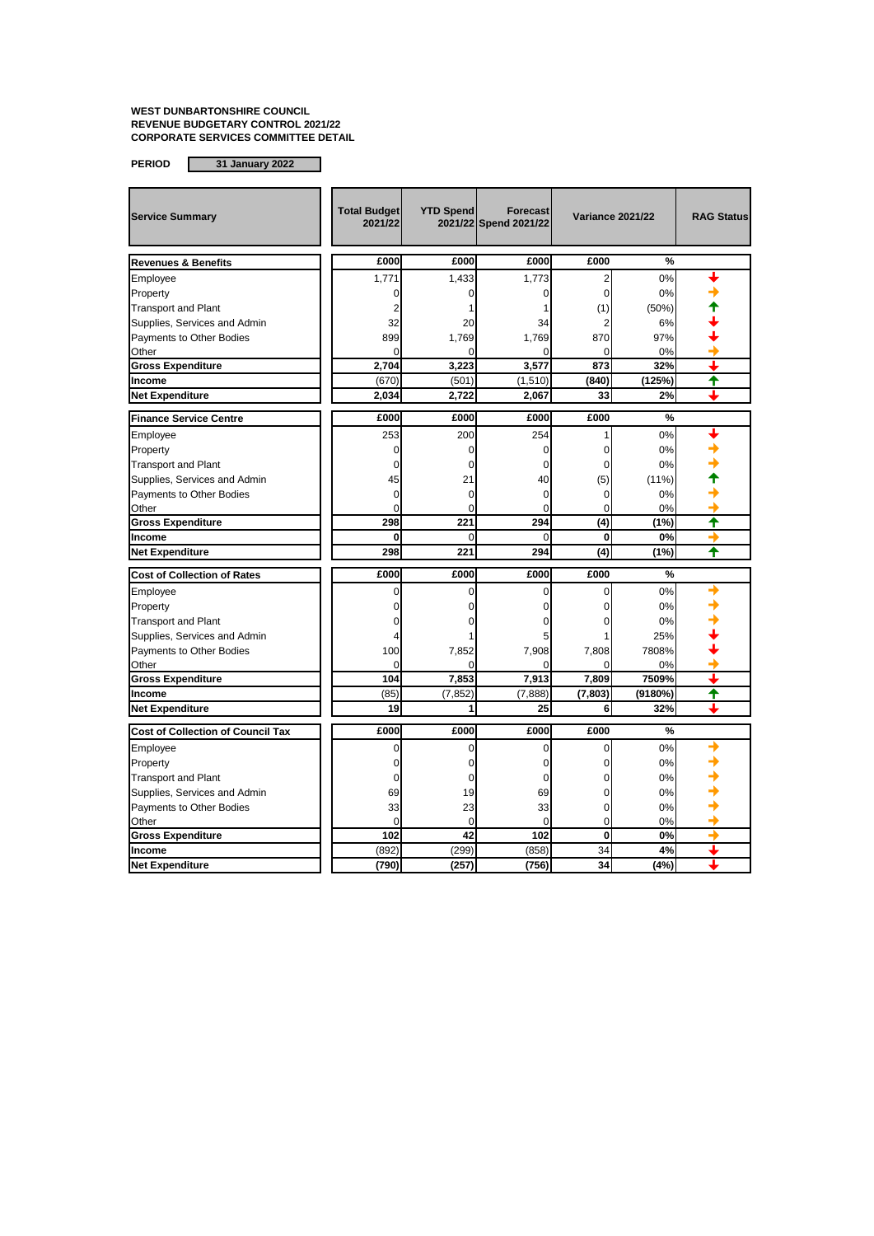**PERIOD 31 January 2022**

 **Total Budget 2021/22 YTD Spend 2021/22 Spend 2021/22 Service Summary Variance 2021/22 RAG Status Forecast £000 £000 £000 £000 %**  $\textsf{\small{Employee}}\qquad \qquad \qquad \textsf{\small{||}}\qquad \quad \ \, \textsf{\small{1,771}}\qquad \quad \ \ \, \textsf{\small{1,433}}\qquad \quad \ \ \, \textsf{\small{1,773}}\qquad \quad \ \ \, \textsf{\small{2}}\qquad \quad \ \, \textsf{\small{0%}}\qquad \qquad \textsf{\small{\tiny{\textbf{+}}}}$ Property  $\begin{vmatrix} 1 & 0 & 0 & 0 & 0 & 0 \end{vmatrix}$  0%  $\begin{vmatrix} 0 & 0 & 0 \end{vmatrix}$ Transport and Plant  $\begin{vmatrix} 1 & 2 & 1 & 1 \end{vmatrix}$  (1) (50%)  $\begin{vmatrix} 50\% \end{vmatrix}$ Supplies, Services and Admin  $\begin{vmatrix} 32 & 20 & 34 & 2 \\ 0 & 32 & 4 & 2 \end{vmatrix}$  6%  $\begin{vmatrix} 68 & 12 & 6 \\ 0 & 34 & 2 \end{vmatrix}$ Payments to Other Bodies  $\begin{array}{ccc} 27\%\\ \end{array}$  1,769 1,769 870 97% → Other the contract of  $\begin{array}{|c|c|c|c|c|c|c|c|c|} \hline \multicolumn{1}{|c|}{\text{O}} & \multicolumn{1}{|c|}{\text{O}} & \multicolumn{1}{|c|}{\text{O}} & \multicolumn{1}{|c|}{\text{O}} & \multicolumn{1}{|c|}{\text{O}} & \multicolumn{1}{|c|}{\text{O}} & \multicolumn{1}{|c|}{\text{O}} & \multicolumn{1}{|c|}{\text{O}} & \multicolumn{1}{|c|}{\text{O}} & \multicolumn{1}{|c|}{\text{O}} &$ **Gross Expenditure 1 2,704 3,223 3,577 873 32% ↓**<br>Income (670) (501) (1.510) (840) (125%) ↑ **Income (1,510)** (670) (501) (501) (1,510) (840) (125%) **Net Expenditure 2,034 2,722 2,067 33 2% £000 £000 £000 £000 %** Employee  $\begin{vmatrix} 1 & 253 & 200 & 254 & 1 & 0\end{vmatrix}$ Property  $\begin{vmatrix} 1 & 0 & 0 & 0 & 0 & 0 \end{vmatrix}$  0%  $\begin{vmatrix} 0 & 0 & 0 \end{vmatrix}$ Transport and Plant  $\begin{array}{|c|c|c|c|c|c|}\n\hline\n\text{Supplies, Services and Admin} & & & & & 0 & 0 & 0 & 0 & 0 & 0 & 0 \\
\hline\n\end{array}$ Supplies, Services and Admin  $\begin{array}{|c|c|c|c|c|c|} \hline \end{array}$  45  $\begin{array}{|c|c|c|c|c|} \hline \end{array}$  40  $\begin{array}{|c|c|c|c|} \hline \end{array}$  (5) Payments to Other Bodies 0 0 0 0 0% Other the contract of  $\begin{bmatrix} 0 & 0 & 0 \end{bmatrix}$  of  $\begin{bmatrix} 0 & 0 \end{bmatrix}$  of  $\begin{bmatrix} 0 & 0 \end{bmatrix}$ **Gross Expenditure 298 221 294 (4) (1%) Income 0** 0 0 **0 0% Net Expenditure 298 221 294 (4) (1%) £000 £000 £000 £000 %**  $\Box$ Employee  $\begin{vmatrix} 1 & 0 & 0 & 0 & 0 & 0 & 0 \end{vmatrix}$ Property  $\begin{vmatrix} 1 & 0 & 0 & 0 & 0 & 0 \end{vmatrix}$  0%  $\begin{vmatrix} 0 & 0 & 0 \end{vmatrix}$ Transport and Plant 0 0 0 0 0% Supplies, Services and Admin 
and a to the contract and admin 
and the contract and the contract and the contract and the contract and the contract and the contract and the contract and the contract and the contract and t Payments to Other Bodies  $\begin{array}{ccc} 1 & 100 & 7,852 & 7,908 & 7,808 & 7808\ 1 & 0 & 0 & 0 & 0 \end{array}$  $\hbox{Other} \hspace{2.5cm} \vert\hspace{2.8cm} 0 \vert \hspace{2.8cm} 0 \vert \hspace{2.8cm} 0 \vert \hspace{2.8cm} 0 \vert \hspace{2.8cm} 0 \vert \hspace{2.8cm} 0 \vert \hspace{2.8cm} 0 \vert$ **Gross Expenditure 104 7,853 7,913 7,809 7509% Income** (85) (7,852) (7,888) **(7,803) (9180%) Net Expenditure 19 1 25 6 32% £000 £000 £000 £000 %**  $\Box$ Employee  $\begin{vmatrix} 1 & 0 & 0 & 0 & 0 & 0 & 0 \end{vmatrix}$ Property  $\begin{vmatrix} 1 & 0 & 0 & 0 & 0 & 0 & 0 \end{vmatrix}$ Transport and Plant 0 0 0 0 0% Supplies, Services and Admin (a) and in the control of the control of the control of the control of the control of the control of the control of the control of the control of the control of the control of the control of th Payments to Other Bodies 33 23 33 0 0% Other the contract of  $\begin{array}{|c|c|c|c|c|c|c|c|c|} \hline \multicolumn{1}{|c|}{\text{O}} & \multicolumn{1}{|c|}{\text{O}} & \multicolumn{1}{|c|}{\text{O}} & \multicolumn{1}{|c|}{\text{O}} & \multicolumn{1}{|c|}{\text{O}} & \multicolumn{1}{|c|}{\text{O}} & \multicolumn{1}{|c|}{\text{O}} & \multicolumn{1}{|c|}{\text{O}} & \multicolumn{1}{|c|}{\text{O}} & \multicolumn{1}{|c|}{\text{O}} &$ **Gross Expenditure 102 42 102 0 0% Income** (892) (299) (858) 34 **4% Net Expenditure (790) (257) (756) 34 (4%) Cost of Collection of Rates Cost of Collection of Council Tax Finance Service Centre Revenues & Benefits**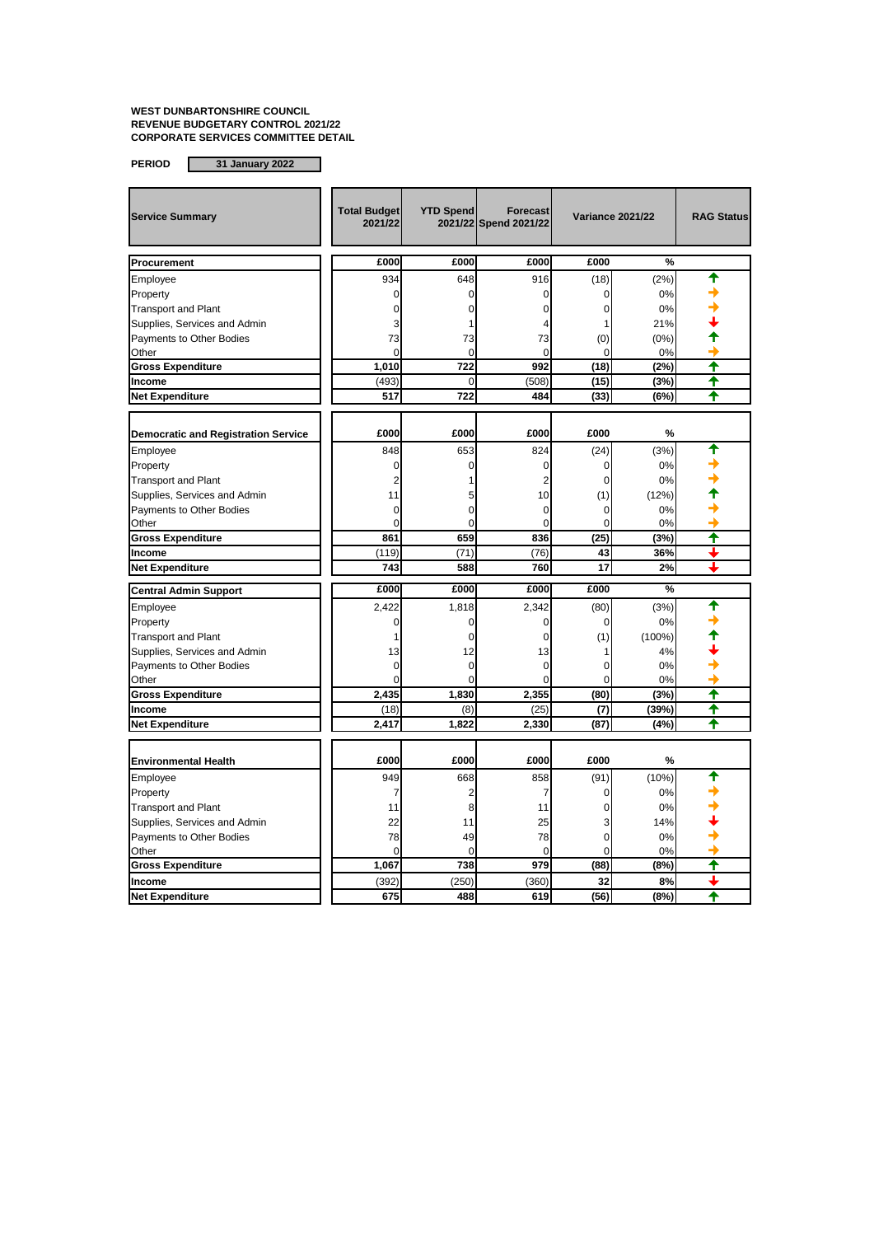| <b>Service Summary</b>                     | <b>Total Budget</b><br>2021/22 | <b>YTD Spend</b> | <b>Forecast</b><br>2021/22 Spend 2021/22 | <b>Variance 2021/22</b> |           | <b>RAG Status</b> |
|--------------------------------------------|--------------------------------|------------------|------------------------------------------|-------------------------|-----------|-------------------|
| Procurement                                | £000                           | £000             | £000                                     | £000                    | %         |                   |
| Employee                                   | 934                            | 648              | 916                                      | (18)                    | (2%)      |                   |
| Property                                   | $\mathbf 0$                    | $\mathbf 0$      | $\overline{0}$                           | $\Omega$                | 0%        |                   |
| <b>Transport and Plant</b>                 | $\Omega$                       | 0                | $\Omega$                                 | $\Omega$                | 0%        |                   |
| Supplies, Services and Admin               | 3                              |                  | Δ                                        |                         | 21%       |                   |
| Payments to Other Bodies                   | 73                             | 73               | 73                                       | (0)                     | (0%)      |                   |
| Other                                      | $\Omega$                       | $\Omega$         | $\Omega$                                 | $\Omega$                | 0%        |                   |
| <b>Gross Expenditure</b>                   | 1,010                          | 722              | 992                                      | (18)                    | (2%)      | ╇                 |
| Income                                     | (493)                          | $\overline{0}$   | (508)                                    | (15)                    | (3%)      | ↑                 |
| <b>Net Expenditure</b>                     | 517                            | 722              | 484                                      | (33)                    | (6%)      | ♠                 |
|                                            |                                |                  |                                          |                         |           |                   |
| <b>Democratic and Registration Service</b> | £000                           | £000             | £000                                     | £000                    | %         |                   |
| Employee                                   | 848                            | 653              | 824                                      | (24)                    | (3%)      |                   |
| Property                                   | $\mathbf 0$                    | 0                | 0                                        | 0                       | 0%        |                   |
| <b>Transport and Plant</b>                 | $\overline{2}$                 |                  | $\overline{2}$                           | $\Omega$                | 0%        |                   |
| Supplies, Services and Admin               | 11                             | 5                | 10                                       | (1)                     | (12%)     |                   |
| Payments to Other Bodies                   | $\mathbf 0$                    | 0                | 0                                        | 0                       | 0%        |                   |
| Other                                      | $\Omega$                       | $\Omega$         | $\Omega$                                 | $\Omega$                | 0%        |                   |
| <b>Gross Expenditure</b>                   | 861                            | 659              | 836                                      | (25)                    | (3%)      | ↑                 |
| Income                                     | (119)                          | (71)             | (76)                                     | 43                      | 36%       |                   |
| <b>Net Expenditure</b>                     | 743                            | 588              | 760                                      | 17                      | 2%        | ┹                 |
| <b>Central Admin Support</b>               | £000                           | £000             | £000                                     | £000                    | %         |                   |
| Employee                                   | 2.422                          | 1,818            | 2,342                                    | (80)                    | (3%)      |                   |
| Property                                   | 0                              | 0                | $\overline{0}$                           | 0                       | 0%        |                   |
| <b>Transport and Plant</b>                 | 1                              | 0                | $\mathbf 0$                              | (1)                     | $(100\%)$ |                   |
| Supplies, Services and Admin               | 13                             | 12               | 13                                       |                         | 4%        |                   |
| Payments to Other Bodies                   | 0                              | 0                | $\overline{0}$                           | $\Omega$                | 0%        |                   |
| Other                                      | $\Omega$                       | $\Omega$         | $\Omega$                                 | $\Omega$                | 0%        |                   |
| <b>Gross Expenditure</b>                   | 2,435                          | 1.830            | 2,355                                    | (80)                    | (3%)      | ↑                 |
| Income                                     | (18)                           | (8)              | (25)                                     | (7)                     | (39%)     | ₳                 |
| <b>Net Expenditure</b>                     | 2,417                          | 1,822            | 2,330                                    | (87)                    | (4%)      | ↑                 |
|                                            |                                |                  |                                          |                         |           |                   |
| <b>Environmental Health</b>                | £000                           | £000             | £000                                     | £000                    | %         |                   |
| Employee                                   | 949                            | 668              | 858                                      | (91)                    | (10%)     |                   |
| Property                                   | 7                              | 2                | 7                                        | 0                       | 0%        |                   |
| <b>Transport and Plant</b>                 | 11                             | 8                | 11                                       | $\Omega$                | 0%        |                   |
| Supplies, Services and Admin               | 22                             | 11               | 25                                       | 3                       | 14%       |                   |
| Payments to Other Bodies                   | 78                             | 49               | 78                                       | 0                       | 0%        |                   |
| Other                                      | $\Omega$                       | $\Omega$         | $\Omega$                                 | $\Omega$                | 0%        |                   |
| <b>Gross Expenditure</b>                   | 1,067                          | 738              | 979                                      | (88)                    | (8%)      | ✦                 |
| Income                                     | (392)                          | (250)            | (360)                                    | 32                      | 8%        |                   |
| <b>Net Expenditure</b>                     | 675                            | 488              | 619                                      | (56)                    | (8%)      | ✦                 |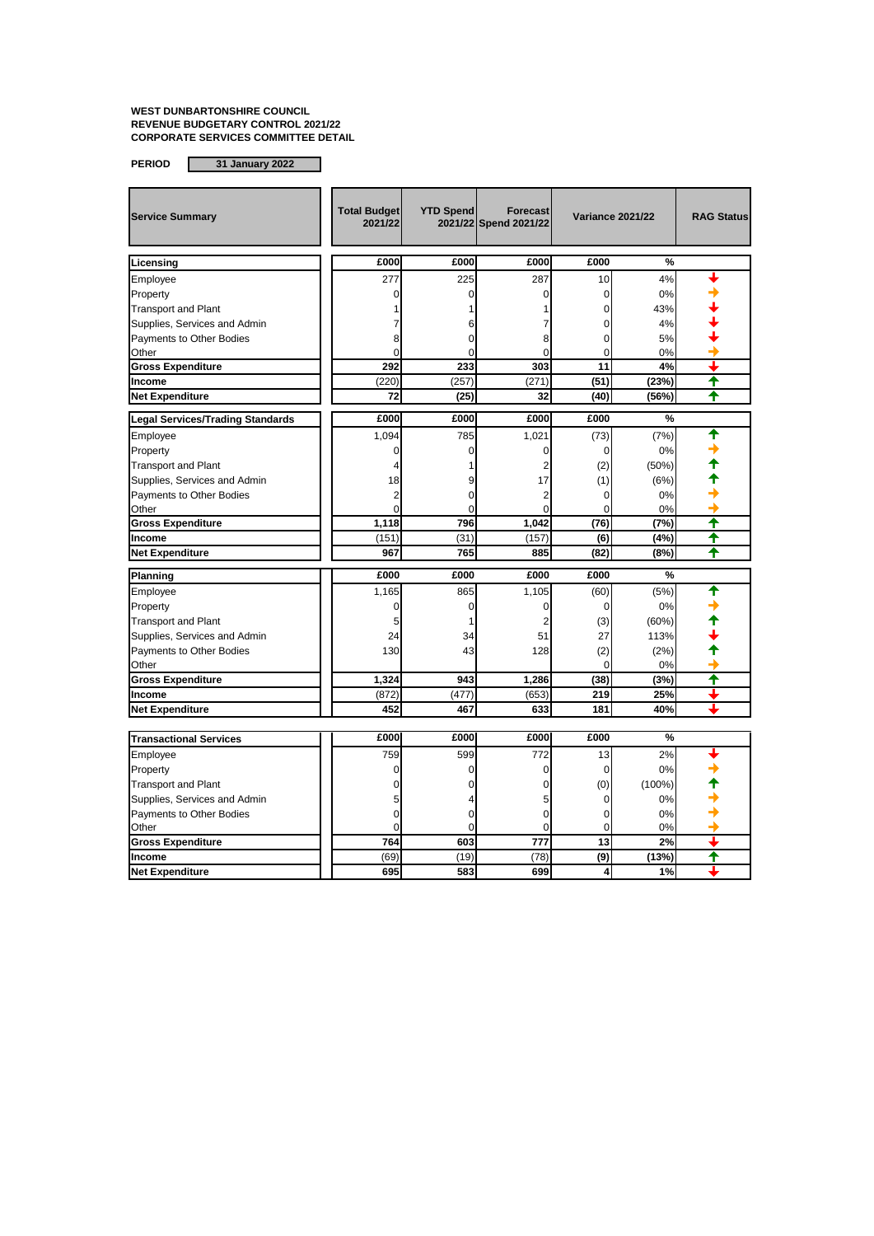| £000<br>£000<br>£000<br>£000<br>%<br>Licensing<br>277<br>225<br>287<br>10<br>4%<br>Employee<br>$\Omega$<br>$\Omega$<br>0<br>0%<br>Property<br>0<br><b>Transport and Plant</b><br>0<br>43%<br>4%<br>Supplies, Services and Admin<br>0<br>6<br>7<br>Payments to Other Bodies<br>8<br>5%<br>8<br>$\Omega$<br>$\Omega$<br>$\Omega$<br>Other<br>0<br>0<br>0%<br>$\Omega$<br>303<br>11<br><b>Gross Expenditure</b><br>292<br>233<br>4%<br>↑<br>(220)<br>(257)<br>(271)<br>(51)<br>(23%)<br>Income<br>♠<br><b>Net Expenditure</b><br>72<br>(25)<br>32<br>(40)<br>(56%)<br>£000<br>£000<br>£000<br>£000<br>%<br><b>Legal Services/Trading Standards</b><br>♠<br>785<br>(7%)<br>Employee<br>1,094<br>1,021<br>(73)<br>0<br>0<br>0%<br>Property<br>0<br>$\Omega$<br>$\overline{\mathbf{c}}$<br><b>Transport and Plant</b><br>(2)<br>$(50\%)$<br>4<br>17<br>Supplies, Services and Admin<br>18<br>(1)<br>(6%)<br>ċ<br>$\overline{2}$<br>Payments to Other Bodies<br>$\overline{2}$<br>$\Omega$<br>0%<br>$\Omega$<br>$\Omega$<br>$\overline{0}$<br>$\mathbf 0$<br>0%<br>Other<br>$\Omega$<br>↑<br>1,118<br>796<br>1,042<br>(76)<br>(7%)<br><b>Gross Expenditure</b><br>↑<br>(151)<br>(31)<br>(157)<br>(6)<br>(4%)<br>Income<br>↑<br>967<br>765<br>(82)<br>(8%)<br><b>Net Expenditure</b><br>885 |
|-------------------------------------------------------------------------------------------------------------------------------------------------------------------------------------------------------------------------------------------------------------------------------------------------------------------------------------------------------------------------------------------------------------------------------------------------------------------------------------------------------------------------------------------------------------------------------------------------------------------------------------------------------------------------------------------------------------------------------------------------------------------------------------------------------------------------------------------------------------------------------------------------------------------------------------------------------------------------------------------------------------------------------------------------------------------------------------------------------------------------------------------------------------------------------------------------------------------------------------------------------------------------------------|
|                                                                                                                                                                                                                                                                                                                                                                                                                                                                                                                                                                                                                                                                                                                                                                                                                                                                                                                                                                                                                                                                                                                                                                                                                                                                                     |
|                                                                                                                                                                                                                                                                                                                                                                                                                                                                                                                                                                                                                                                                                                                                                                                                                                                                                                                                                                                                                                                                                                                                                                                                                                                                                     |
|                                                                                                                                                                                                                                                                                                                                                                                                                                                                                                                                                                                                                                                                                                                                                                                                                                                                                                                                                                                                                                                                                                                                                                                                                                                                                     |
|                                                                                                                                                                                                                                                                                                                                                                                                                                                                                                                                                                                                                                                                                                                                                                                                                                                                                                                                                                                                                                                                                                                                                                                                                                                                                     |
|                                                                                                                                                                                                                                                                                                                                                                                                                                                                                                                                                                                                                                                                                                                                                                                                                                                                                                                                                                                                                                                                                                                                                                                                                                                                                     |
|                                                                                                                                                                                                                                                                                                                                                                                                                                                                                                                                                                                                                                                                                                                                                                                                                                                                                                                                                                                                                                                                                                                                                                                                                                                                                     |
|                                                                                                                                                                                                                                                                                                                                                                                                                                                                                                                                                                                                                                                                                                                                                                                                                                                                                                                                                                                                                                                                                                                                                                                                                                                                                     |
|                                                                                                                                                                                                                                                                                                                                                                                                                                                                                                                                                                                                                                                                                                                                                                                                                                                                                                                                                                                                                                                                                                                                                                                                                                                                                     |
|                                                                                                                                                                                                                                                                                                                                                                                                                                                                                                                                                                                                                                                                                                                                                                                                                                                                                                                                                                                                                                                                                                                                                                                                                                                                                     |
|                                                                                                                                                                                                                                                                                                                                                                                                                                                                                                                                                                                                                                                                                                                                                                                                                                                                                                                                                                                                                                                                                                                                                                                                                                                                                     |
|                                                                                                                                                                                                                                                                                                                                                                                                                                                                                                                                                                                                                                                                                                                                                                                                                                                                                                                                                                                                                                                                                                                                                                                                                                                                                     |
|                                                                                                                                                                                                                                                                                                                                                                                                                                                                                                                                                                                                                                                                                                                                                                                                                                                                                                                                                                                                                                                                                                                                                                                                                                                                                     |
|                                                                                                                                                                                                                                                                                                                                                                                                                                                                                                                                                                                                                                                                                                                                                                                                                                                                                                                                                                                                                                                                                                                                                                                                                                                                                     |
|                                                                                                                                                                                                                                                                                                                                                                                                                                                                                                                                                                                                                                                                                                                                                                                                                                                                                                                                                                                                                                                                                                                                                                                                                                                                                     |
|                                                                                                                                                                                                                                                                                                                                                                                                                                                                                                                                                                                                                                                                                                                                                                                                                                                                                                                                                                                                                                                                                                                                                                                                                                                                                     |
|                                                                                                                                                                                                                                                                                                                                                                                                                                                                                                                                                                                                                                                                                                                                                                                                                                                                                                                                                                                                                                                                                                                                                                                                                                                                                     |
|                                                                                                                                                                                                                                                                                                                                                                                                                                                                                                                                                                                                                                                                                                                                                                                                                                                                                                                                                                                                                                                                                                                                                                                                                                                                                     |
|                                                                                                                                                                                                                                                                                                                                                                                                                                                                                                                                                                                                                                                                                                                                                                                                                                                                                                                                                                                                                                                                                                                                                                                                                                                                                     |
|                                                                                                                                                                                                                                                                                                                                                                                                                                                                                                                                                                                                                                                                                                                                                                                                                                                                                                                                                                                                                                                                                                                                                                                                                                                                                     |
|                                                                                                                                                                                                                                                                                                                                                                                                                                                                                                                                                                                                                                                                                                                                                                                                                                                                                                                                                                                                                                                                                                                                                                                                                                                                                     |
| £000<br>£000<br>£000<br>£000<br>%<br>Planning                                                                                                                                                                                                                                                                                                                                                                                                                                                                                                                                                                                                                                                                                                                                                                                                                                                                                                                                                                                                                                                                                                                                                                                                                                       |
| 1,105<br>(5%)<br>Employee<br>1,165<br>865<br>(60)                                                                                                                                                                                                                                                                                                                                                                                                                                                                                                                                                                                                                                                                                                                                                                                                                                                                                                                                                                                                                                                                                                                                                                                                                                   |
| 0<br>0<br>0%<br>Property<br>0<br>0                                                                                                                                                                                                                                                                                                                                                                                                                                                                                                                                                                                                                                                                                                                                                                                                                                                                                                                                                                                                                                                                                                                                                                                                                                                  |
| <b>Transport and Plant</b><br>2<br>(3)<br>(60%)<br>5<br>1                                                                                                                                                                                                                                                                                                                                                                                                                                                                                                                                                                                                                                                                                                                                                                                                                                                                                                                                                                                                                                                                                                                                                                                                                           |
| 24<br>51<br>27<br>113%<br>Supplies, Services and Admin<br>34                                                                                                                                                                                                                                                                                                                                                                                                                                                                                                                                                                                                                                                                                                                                                                                                                                                                                                                                                                                                                                                                                                                                                                                                                        |
| Payments to Other Bodies<br>130<br>43<br>128<br>(2)<br>(2%)                                                                                                                                                                                                                                                                                                                                                                                                                                                                                                                                                                                                                                                                                                                                                                                                                                                                                                                                                                                                                                                                                                                                                                                                                         |
| Other<br>$\Omega$<br>0%                                                                                                                                                                                                                                                                                                                                                                                                                                                                                                                                                                                                                                                                                                                                                                                                                                                                                                                                                                                                                                                                                                                                                                                                                                                             |
| ₳<br><b>Gross Expenditure</b><br>1,324<br>943<br>1.286<br>(38)<br>(3%)                                                                                                                                                                                                                                                                                                                                                                                                                                                                                                                                                                                                                                                                                                                                                                                                                                                                                                                                                                                                                                                                                                                                                                                                              |
| ┻<br>(872)<br>(477)<br>(653)<br>219<br>25%<br>Income                                                                                                                                                                                                                                                                                                                                                                                                                                                                                                                                                                                                                                                                                                                                                                                                                                                                                                                                                                                                                                                                                                                                                                                                                                |
| <b>Net Expenditure</b><br>452<br>633<br>181<br>40%<br>467                                                                                                                                                                                                                                                                                                                                                                                                                                                                                                                                                                                                                                                                                                                                                                                                                                                                                                                                                                                                                                                                                                                                                                                                                           |
| £000<br>£000<br>£000<br>£000<br>%<br><b>Transactional Services</b>                                                                                                                                                                                                                                                                                                                                                                                                                                                                                                                                                                                                                                                                                                                                                                                                                                                                                                                                                                                                                                                                                                                                                                                                                  |
| 759<br>599<br>772<br>2%<br>13                                                                                                                                                                                                                                                                                                                                                                                                                                                                                                                                                                                                                                                                                                                                                                                                                                                                                                                                                                                                                                                                                                                                                                                                                                                       |
| Employee                                                                                                                                                                                                                                                                                                                                                                                                                                                                                                                                                                                                                                                                                                                                                                                                                                                                                                                                                                                                                                                                                                                                                                                                                                                                            |
| 0%<br>Property<br>0<br>0<br>0<br>0<br>$\Omega$                                                                                                                                                                                                                                                                                                                                                                                                                                                                                                                                                                                                                                                                                                                                                                                                                                                                                                                                                                                                                                                                                                                                                                                                                                      |
| (0)<br><b>Transport and Plant</b><br>$(100\%)$<br>0<br>0<br>5<br>0<br>0%<br>5                                                                                                                                                                                                                                                                                                                                                                                                                                                                                                                                                                                                                                                                                                                                                                                                                                                                                                                                                                                                                                                                                                                                                                                                       |
| Supplies, Services and Admin<br>$\mathbf 0$<br>Payments to Other Bodies<br>0%<br>$\Omega$<br>0<br>0                                                                                                                                                                                                                                                                                                                                                                                                                                                                                                                                                                                                                                                                                                                                                                                                                                                                                                                                                                                                                                                                                                                                                                                 |
| $\Omega$<br>$\Omega$<br>$\Omega$<br>0%<br>Other<br>0                                                                                                                                                                                                                                                                                                                                                                                                                                                                                                                                                                                                                                                                                                                                                                                                                                                                                                                                                                                                                                                                                                                                                                                                                                |
| ┹<br>13<br><b>Gross Expenditure</b><br>764<br>603<br>2%<br>777                                                                                                                                                                                                                                                                                                                                                                                                                                                                                                                                                                                                                                                                                                                                                                                                                                                                                                                                                                                                                                                                                                                                                                                                                      |
| (9)<br>↟<br>(69)<br>(19)<br>(78)<br>(13%)<br>Income                                                                                                                                                                                                                                                                                                                                                                                                                                                                                                                                                                                                                                                                                                                                                                                                                                                                                                                                                                                                                                                                                                                                                                                                                                 |
| 695<br>583<br>1%<br><b>Net Expenditure</b><br>699<br>4                                                                                                                                                                                                                                                                                                                                                                                                                                                                                                                                                                                                                                                                                                                                                                                                                                                                                                                                                                                                                                                                                                                                                                                                                              |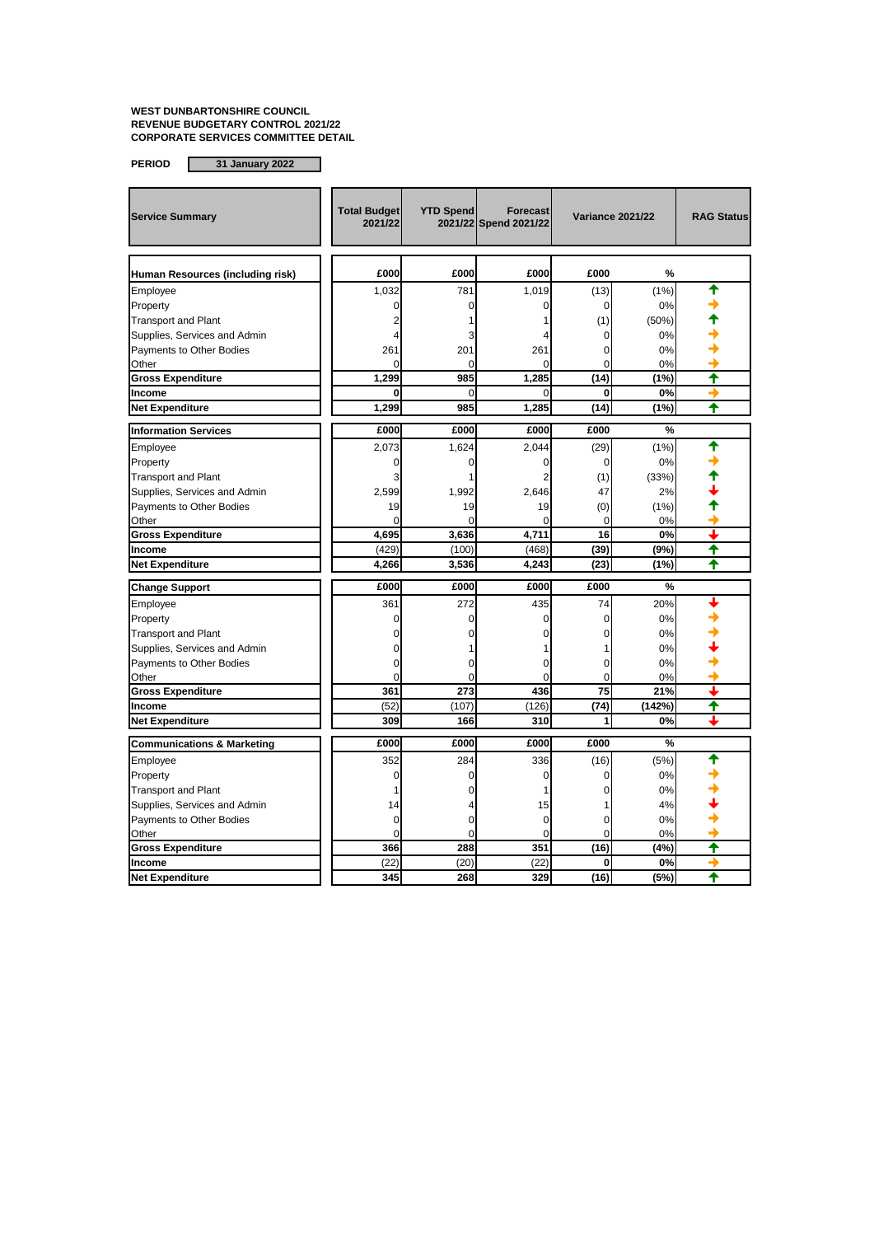| <b>Service Summary</b>                | <b>Total Budget</b><br>2021/22 | <b>YTD Spend</b> | Forecast<br>2021/22 Spend 2021/22 | <b>Variance 2021/22</b> |        | <b>RAG Status</b> |
|---------------------------------------|--------------------------------|------------------|-----------------------------------|-------------------------|--------|-------------------|
| Human Resources (including risk)      | £000                           | £000             | £000                              | £000                    | %      |                   |
| Employee                              | 1.032                          | 781              | 1,019                             | (13)                    | (1% )  |                   |
| Property                              | 0                              | 0                | 0                                 | $\mathbf 0$             | 0%     |                   |
| <b>Transport and Plant</b>            | $\overline{2}$                 |                  |                                   | (1)                     | (50%)  |                   |
| Supplies, Services and Admin          | 4                              | 3                |                                   | 0                       | 0%     |                   |
| Payments to Other Bodies              | 261                            | 201              | 261                               | $\Omega$                | 0%     |                   |
| Other                                 | $\Omega$                       | $\Omega$         | 0                                 | 0                       | 0%     |                   |
| <b>Gross Expenditure</b>              | 1,299                          | 985              | 1.285                             | (14)                    | (1%)   | ₳                 |
| Income                                | $\Omega$                       | 0                | 0                                 | 0                       | 0%     |                   |
| <b>Net Expenditure</b>                | 1,299                          | 985              | 1,285                             | (14)                    | (1%)   | ✦                 |
| <b>Information Services</b>           | £000                           | £000             | £000                              | £000                    | %      |                   |
| Employee                              | 2,073                          | 1.624            | 2,044                             | (29)                    | (1%)   | ♠                 |
| Property                              | $\mathbf 0$                    | 0                | 0                                 | 0                       | 0%     |                   |
| <b>Transport and Plant</b>            | 3                              |                  | 2                                 | (1)                     | (33%)  |                   |
| Supplies, Services and Admin          | 2,599                          | 1,992            | 2,646                             | 47                      | 2%     |                   |
| Payments to Other Bodies              | 19                             | 19               | 19                                | (0)                     | (1%)   |                   |
| Other                                 | $\Omega$                       | $\Omega$         | $\Omega$                          | $\mathbf 0$             | 0%     |                   |
| <b>Gross Expenditure</b>              | 4,695                          | 3,636            | 4,711                             | 16                      | 0%     |                   |
| Income                                | (429)                          | (100)            | (468)                             | (39)                    | (9%)   | ✦                 |
| <b>Net Expenditure</b>                | 4,266                          | 3,536            | 4,243                             | (23)                    | (1%)   |                   |
| <b>Change Support</b>                 | £000                           | £000             | £000                              | £000                    | %      |                   |
| Employee                              | 361                            | 272              | 435                               | 74                      | 20%    |                   |
| Property                              | $\mathbf 0$                    | 0                | Ō                                 | 0                       | 0%     |                   |
| <b>Transport and Plant</b>            | O                              |                  |                                   | C                       | 0%     |                   |
| Supplies, Services and Admin          | ſ                              |                  |                                   |                         | 0%     |                   |
| Payments to Other Bodies              | 0                              | 0                | 0                                 | 0                       | 0%     |                   |
| Other                                 | $\Omega$                       | $\Omega$         | $\Omega$                          | $\Omega$                | 0%     |                   |
| <b>Gross Expenditure</b>              | 361                            | 273              | 436                               | 75                      | 21%    |                   |
| Income                                | (52)                           | (107)            | (126)                             | (74)                    | (142%) | ₳                 |
| <b>Net Expenditure</b>                | 309                            | 166              | 310                               | 1                       | 0%     |                   |
| <b>Communications &amp; Marketing</b> | £000                           | £000             | £000                              | £000                    | %      |                   |
| Employee                              | 352                            | 284              | 336                               | (16)                    | (5%)   |                   |
| Property                              | 0                              | 0                | 0                                 | 0                       | 0%     |                   |
| <b>Transport and Plant</b>            | 1                              | 0                | 1                                 | 0                       | 0%     |                   |
| Supplies, Services and Admin          | 14                             |                  | 15                                |                         | 4%     |                   |
| Payments to Other Bodies              | 0                              | 0                | 0                                 | 0                       | 0%     |                   |
| Other                                 | $\Omega$                       | $\Omega$         | $\Omega$                          | $\Omega$                | 0%     |                   |
| <b>Gross Expenditure</b>              | 366                            | 288              | 351                               | (16)                    | (4%)   | ✦                 |
| Income                                | (22)                           | (20)             | (22)                              | 0                       | 0%     | →                 |
| <b>Net Expenditure</b>                | 345                            | 268              | 329                               | (16)                    | (5%)   |                   |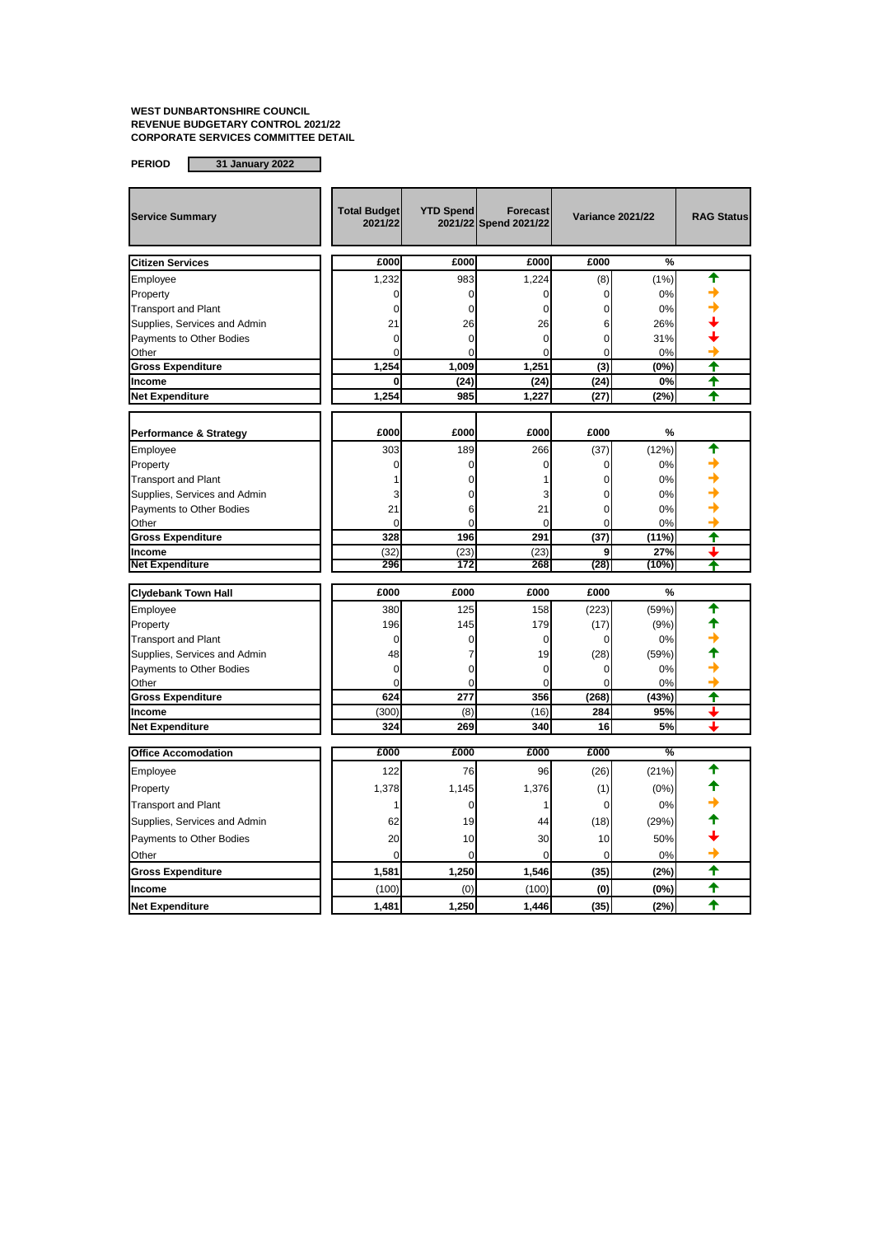| <b>Service Summary</b>            | <b>Total Budget</b><br>2021/22 | <b>YTD Spend</b> | Forecast<br>2021/22 Spend 2021/22 |             | <b>Variance 2021/22</b> | <b>RAG Status</b>       |
|-----------------------------------|--------------------------------|------------------|-----------------------------------|-------------|-------------------------|-------------------------|
| <b>Citizen Services</b>           | £000                           | £000             | £000                              | £000        | %                       |                         |
| Employee                          | 1,232                          | 983              | 1,224                             | (8)         | (1%)                    | ♠                       |
| Property                          | 0                              | $\Omega$         | 0                                 | 0           | 0%                      |                         |
| <b>Transport and Plant</b>        | 0                              | 0                | 0                                 | 0           | 0%                      |                         |
| Supplies, Services and Admin      | 21                             | 26               | 26                                | 6           | 26%                     |                         |
| Payments to Other Bodies          | 0                              | 0                | 0                                 | 0           | 31%                     |                         |
| Other                             | $\Omega$                       | $\Omega$         | $\Omega$                          | $\Omega$    | 0%                      |                         |
| <b>Gross Expenditure</b>          | 1,254                          | 1.009            | 1,251                             | (3)         | (0%)                    | $\ddot{\textbf{t}}$     |
| Income                            | 0                              | (24)             | (24)                              | (24)        | 0%                      | ╇                       |
| <b>Net Expenditure</b>            | 1,254                          | 985              | 1,227                             | (27)        | (2%)                    | ✦                       |
|                                   |                                |                  |                                   |             |                         |                         |
| <b>Performance &amp; Strategy</b> | £000                           | £000             | £000                              | £000        | %                       |                         |
| Employee                          | 303                            | 189              | 266                               | (37)        | (12%)                   |                         |
| Property                          | 0                              | 0                | $\Omega$                          | 0           | 0%                      |                         |
| <b>Transport and Plant</b>        |                                | $\Omega$         |                                   | $\Omega$    | 0%                      |                         |
| Supplies, Services and Admin      | 3                              | C                | 3                                 | 0           | 0%                      |                         |
| Payments to Other Bodies          | 21                             | 6                | 21                                | $\mathbf 0$ | 0%                      |                         |
| Other                             | $\Omega$                       | $\Omega$         | $\Omega$                          | $\Omega$    | 0%                      |                         |
| <b>Gross Expenditure</b>          | 328                            | 196              | 291                               | (37)        | $(11\%)$                | ↑                       |
| Income                            | (32)                           | (23)             | (23)                              | 9           | 27%                     |                         |
| <b>Net Expenditure</b>            | 296                            | 172              | 268                               | (28)        | (10%)                   |                         |
| <b>Clydebank Town Hall</b>        | £000                           | £000             | £000                              | £000        | %                       |                         |
| Employee                          | 380                            | 125              | 158                               | (223)       | (59%)                   | ♠                       |
| Property                          | 196                            | 145              | 179                               | (17)        | (9%)                    |                         |
| <b>Transport and Plant</b>        | 0                              | 0                | 0                                 | 0           | 0%                      |                         |
| Supplies, Services and Admin      | 48                             | $\overline{7}$   | 19                                | (28)        | (59%)                   |                         |
| Payments to Other Bodies          | $\mathbf 0$                    | $\overline{0}$   | $\mathbf 0$                       | 0           | 0%                      |                         |
| Other                             | $\Omega$                       | $\Omega$         | $\Omega$                          | $\Omega$    | 0%                      |                         |
| <b>Gross Expenditure</b>          | 624                            | 277              | 356                               | (268)       | (43%)                   | ✦                       |
| Income                            | (300)                          | (8)              | (16)                              | 284         | 95%                     |                         |
| <b>Net Expenditure</b>            | 324                            | 269              | 340                               | 16          | 5%                      |                         |
| <b>Office Accomodation</b>        | £000                           | £000             | £000                              | £000        | %                       |                         |
| Employee                          | 122                            | 76               | 96                                | (26)        | (21%)                   | ♠                       |
| Property                          | 1,378                          | 1,145            | 1,376                             | (1)         | (0%)                    |                         |
| <b>Transport and Plant</b>        | 1                              | 0                | 1                                 | $\mathbf 0$ | 0%                      |                         |
| Supplies, Services and Admin      | 62                             | 19               | 44                                | (18)        | (29%)                   |                         |
| Payments to Other Bodies          | 20                             | 10               | 30                                | 10          | 50%                     |                         |
| Other                             | 0                              | 0                | 0                                 | $\mathbf 0$ | 0%                      |                         |
| <b>Gross Expenditure</b>          | 1,581                          | 1,250            | 1,546                             | (35)        | (2%)                    | $\overline{\textbf{f}}$ |
| Income                            | (100)                          | (0)              | (100)                             | (0)         | (0%)                    | ✦                       |
| <b>Net Expenditure</b>            | 1,481                          | 1,250            | 1,446                             | (35)        | (2%)                    | 布                       |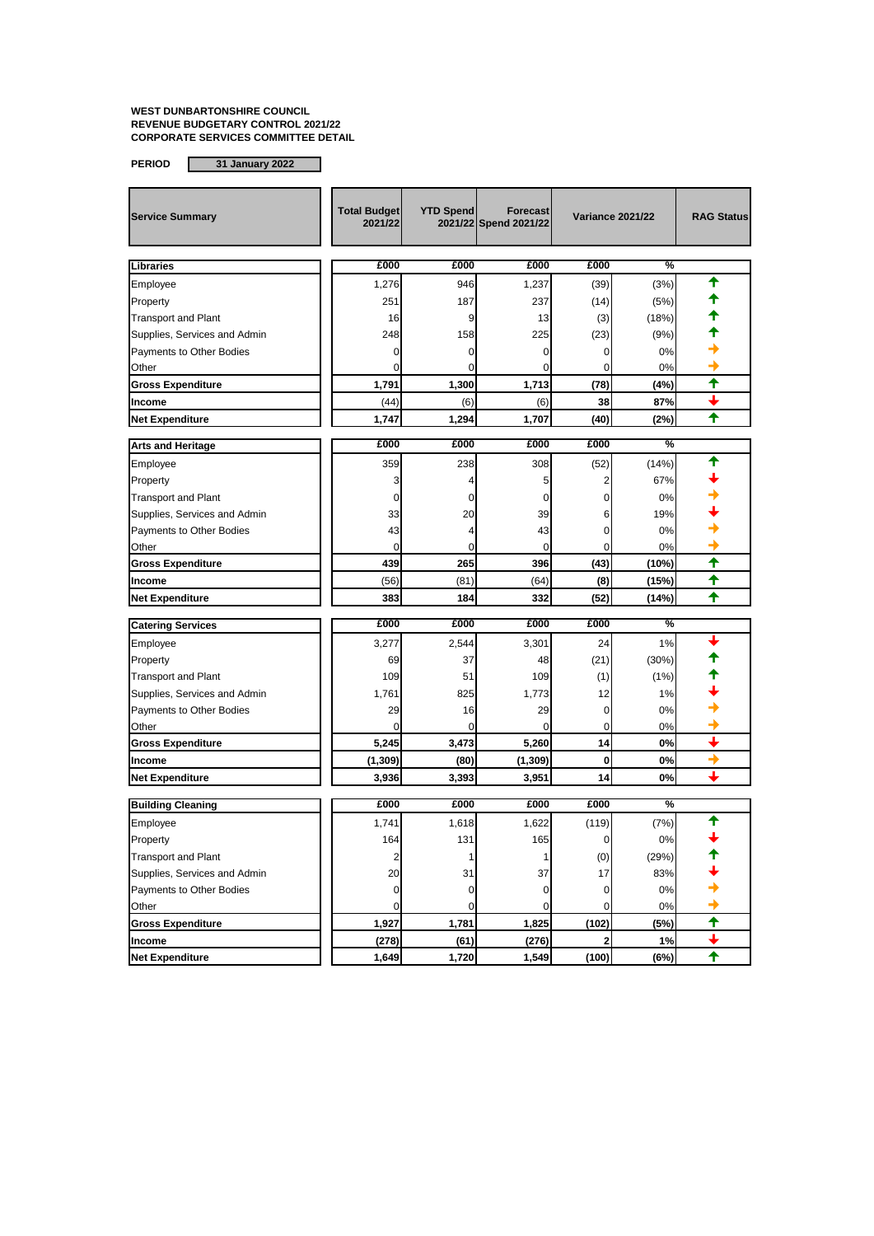| <b>Service Summary</b>       | <b>Total Budget</b><br>2021/22 | <b>YTD Spend</b> | <b>Forecast</b><br>2021/22 Spend 2021/22 | <b>Variance 2021/22</b> |       | <b>RAG Status</b>        |
|------------------------------|--------------------------------|------------------|------------------------------------------|-------------------------|-------|--------------------------|
| Libraries                    | £000                           | £000             | £000                                     | £000                    | %     |                          |
| Employee                     | 1,276                          | 946              | 1,237                                    | (39)                    | (3%)  | ♠                        |
| Property                     | 251                            | 187              | 237                                      | (14)                    | (5%)  |                          |
| <b>Transport and Plant</b>   | 16                             | 9                | 13                                       | (3)                     | (18%) |                          |
| Supplies, Services and Admin | 248                            | 158              | 225                                      | (23)                    | (9%)  |                          |
| Payments to Other Bodies     | 0                              | 0                | 0                                        | 0                       | 0%    |                          |
| Other                        | $\Omega$                       | 0                | 0                                        | 0                       | 0%    |                          |
| <b>Gross Expenditure</b>     | 1,791                          | 1,300            | 1,713                                    | (78)                    | (4%)  | ✦                        |
| Income                       | (44)                           | (6)              | (6)                                      | 38                      | 87%   |                          |
| <b>Net Expenditure</b>       | 1,747                          | 1,294            | 1,707                                    | (40)                    | (2%)  | ✦                        |
| <b>Arts and Heritage</b>     | £000                           | £000             | £000                                     | £000                    | %     |                          |
| Employee                     | 359                            | 238              | 308                                      | (52)                    | (14%) |                          |
| Property                     | 3                              | 4                | 5                                        | 2                       | 67%   |                          |
| <b>Transport and Plant</b>   | 0                              | 0                | 0                                        | 0                       | 0%    |                          |
| Supplies, Services and Admin | 33                             | 20               | 39                                       | 6                       | 19%   |                          |
| Payments to Other Bodies     | 43                             | 4                | 43                                       | 0                       | 0%    |                          |
| Other                        | 0                              | 0                | 0                                        | 0                       | 0%    |                          |
| <b>Gross Expenditure</b>     | 439                            | 265              | 396                                      | (43)                    | (10%) | ✦                        |
| Income                       | (56)                           | (81)             | (64)                                     | (8)                     | (15%) | ✦                        |
| <b>Net Expenditure</b>       | 383                            | 184              | 332                                      | (52)                    | (14%) | ✦                        |
| <b>Catering Services</b>     | £000                           | £000             | £000                                     | £000                    | %     |                          |
| Employee                     | 3,277                          | 2,544            | 3,301                                    | 24                      | 1%    |                          |
| Property                     | 69                             | 37               | 48                                       | (21)                    | (30%) |                          |
| <b>Transport and Plant</b>   | 109                            | 51               | 109                                      | (1)                     | (1%)  |                          |
| Supplies, Services and Admin | 1,761                          | 825              | 1,773                                    | 12                      | 1%    |                          |
| Payments to Other Bodies     | 29                             | 16               | 29                                       | 0                       | 0%    |                          |
| Other                        | $\Omega$                       | $\Omega$         | 0                                        | 0                       | 0%    |                          |
| <b>Gross Expenditure</b>     | 5,245                          | 3,473            | 5,260                                    | 14                      | 0%    | $\overline{\phantom{0}}$ |
| Income                       | (1, 309)                       | (80)             | (1, 309)                                 | $\mathbf 0$             | 0%    | →                        |
| <b>Net Expenditure</b>       | 3,936                          | 3,393            | 3,951                                    | 14                      | 0%    | ┸                        |
| <b>Building Cleaning</b>     | £000                           | £000             | £000                                     | £000                    | %     |                          |
| Employee                     | 1,741                          | 1,618            | 1,622                                    | (119)                   | (7%)  |                          |
| Property                     | 164                            | 131              | 165                                      | 0                       | 0%    |                          |
| <b>Transport and Plant</b>   | 2                              | 1                | 1                                        | (0)                     | (29%) |                          |
| Supplies, Services and Admin | 20                             | 31               | 37                                       | 17                      | 83%   |                          |
| Payments to Other Bodies     | $\pmb{0}$                      | 0                | $\pmb{0}$                                | 0                       | 0%    |                          |
| Other                        | 0                              | 0                | 0                                        | 0                       | 0%    |                          |
| <b>Gross Expenditure</b>     | 1,927                          | 1,781            | 1,825                                    | (102)                   | (5%)  | $\ddot{\textbf{t}}$      |
| Income                       | (278)                          | (61)             | (276)                                    | $\overline{\mathbf{2}}$ | 1%    | $\ddag$                  |
| <b>Net Expenditure</b>       | 1,649                          | 1,720            | 1,549                                    | (100)                   | (6%)  | $\ddagger$               |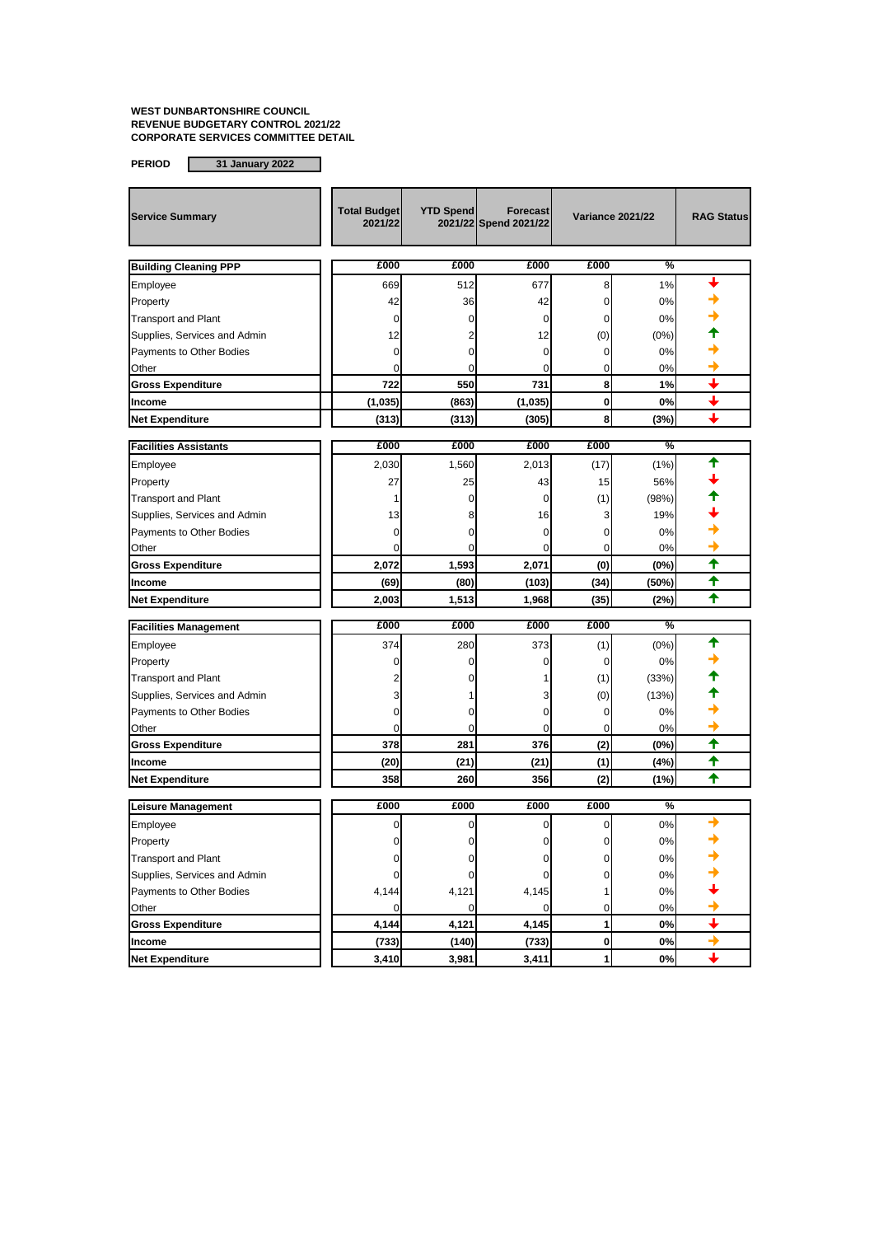| <b>Service Summary</b>       | <b>Total Budget</b><br>2021/22 | <b>YTD Spend</b> | <b>Forecast</b><br>2021/22 Spend 2021/22 | <b>Variance 2021/22</b> |       | <b>RAG Status</b>           |
|------------------------------|--------------------------------|------------------|------------------------------------------|-------------------------|-------|-----------------------------|
| <b>Building Cleaning PPP</b> | £000                           | £000             | £000                                     | £000                    | %     |                             |
| Employee                     | 669                            | 512              | 677                                      | 8                       | 1%    |                             |
| Property                     | 42                             | 36               | 42                                       | 0                       | 0%    |                             |
| <b>Transport and Plant</b>   | 0                              | 0                | 0                                        | $\mathbf 0$             | 0%    |                             |
| Supplies, Services and Admin | 12                             | 2                | 12                                       | (0)                     | (0%)  |                             |
| Payments to Other Bodies     | 0                              | 0                | 0                                        | 0                       | 0%    |                             |
| Other                        | $\Omega$                       | 0                | 0                                        | 0                       | 0%    |                             |
| <b>Gross Expenditure</b>     | 722                            | 550              | 731                                      | 8                       | 1%    | ↓                           |
| Income                       | (1,035)                        | (863)            | (1,035)                                  | $\mathbf 0$             | 0%    | $\color{red} \blacklozenge$ |
| <b>Net Expenditure</b>       | (313)                          | (313)            | (305)                                    | 8                       | (3%)  | ı                           |
| <b>Facilities Assistants</b> | £000                           | £000             | £000                                     | £000                    | %     |                             |
| Employee                     | 2,030                          | 1,560            | 2,013                                    | (17)                    | (1%)  | ♠                           |
| Property                     | 27                             | 25               | 43                                       | 15                      | 56%   |                             |
| <b>Transport and Plant</b>   | 1                              | 0                | 0                                        | (1)                     | (98%) |                             |
| Supplies, Services and Admin | 13                             | 8                | 16                                       | 3                       | 19%   |                             |
| Payments to Other Bodies     | 0                              | 0                | 0                                        | 0                       | 0%    |                             |
| Other                        | 0                              | 0                | 0                                        | 0                       | 0%    |                             |
| <b>Gross Expenditure</b>     | 2,072                          | 1,593            | 2,071                                    | (0)                     | (0%)  | ✦                           |
| Income                       | (69)                           | (80)             | (103)                                    | (34)                    | (50%) | ↑                           |
| <b>Net Expenditure</b>       | 2,003                          | 1,513            | 1,968                                    | (35)                    | (2%)  |                             |
| <b>Facilities Management</b> | £000                           | £000             | £000                                     | £000                    | %     |                             |
| Employee                     | 374                            | 280              | 373                                      | (1)                     | (0%)  | ᡨ                           |
| Property                     | 0                              | $\Omega$         | 0                                        | $\mathbf 0$             | 0%    |                             |
| <b>Transport and Plant</b>   | 2                              | 0                |                                          | (1)                     | (33%) |                             |
| Supplies, Services and Admin | 3                              |                  | 3                                        | (0)                     | (13%) |                             |
| Payments to Other Bodies     | 0                              | 0                | 0                                        | 0                       | 0%    |                             |
| Other                        | 0                              | 0                | 0                                        | 0                       | 0%    |                             |
| <b>Gross Expenditure</b>     | 378                            | 281              | 376                                      | (2)                     | (0%)  | ✦                           |
| Income                       | (20)                           | (21)             | (21)                                     | (1)                     | (4%)  | ♠                           |
| <b>Net Expenditure</b>       | 358                            | 260              | 356                                      | (2)                     | (1%)  | ✦                           |
| Leisure Management           | £000                           | £000             | £000                                     | £000                    | %     |                             |
| Employee                     | 0                              | 0                | 0                                        | 0                       | 0%    | →                           |
| Property                     |                                |                  |                                          |                         | 0%    |                             |
| <b>Transport and Plant</b>   | 0                              | 0                | 0                                        | 0                       | $0\%$ |                             |
| Supplies, Services and Admin | 0                              | 0                | 0                                        | 0                       | 0%    |                             |
| Payments to Other Bodies     | 4,144                          | 4,121            | 4,145                                    | 1                       | 0%    |                             |
| Other                        | 0                              | 0                | 0                                        | 0                       | 0%    |                             |
| <b>Gross Expenditure</b>     | 4,144                          | 4,121            | 4,145                                    | 1                       | 0%    | $\overline{\phantom{0}}$    |
| Income                       | (733)                          | (140)            | (733)                                    | 0                       | 0%    | →                           |
| <b>Net Expenditure</b>       | 3,410                          | 3,981            | 3,411                                    | 1                       | 0%    | ┹                           |